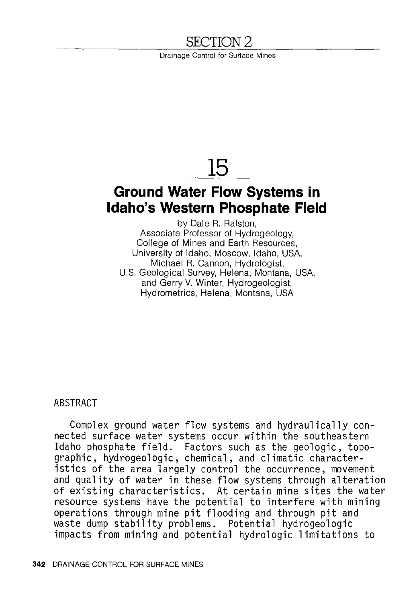# SECTION 2

Drainage Control for Surface Mines

# **15**

# **Ground Water Flow Systems in Idaho's Western Phosphate Field**

by Dale R. Ralston, Associate Professor of Hydrogeology, College of Mines and Earth Resources, University of Idaho, Moscow, Idaho, USA, Michael R. Cannon, Hydrologist, U.S. Geological Survey, Helena, Montana, USA, and Gerry V. Winter, Hydrogeologist, Hydrometries, Helena, Montana, USA

# ABSTRACT

Complex ground water flow systems and hydraulically connected surface water systems occur within the southeastern Idaho phosphate field. Factors such as the geologic, topographic, hydrogeologic, chemical, and climatic characteristics of the area largely control the occurrence, movement and quality of water in these flow systems through alteration of existing characteristics. At certain mine sites the water resource systems have the potential to interfere with mining operations through mine pit flooding and through pit and waste dump stability problems. Potential hydrogeologic impacts from mining and potential hydrologic limitations to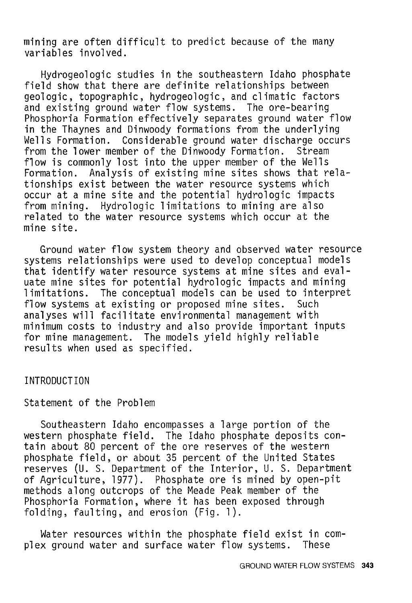mining are often difficult to predict because of the many variables involved.

Hydrogeologic studies in the southeastern Idaho phosphate field show that there are definite relationships between geologic, topographic, hydrogeologic, and climatic factors and existing ground water flow systems. The ore-bearing Phosphoria Formation effectively separates ground water flow in the Thaynes and Dinwoody formations from the underlying Wells Formation. Considerable ground water discharge occurs from the lower member of the Dinwoody Formation. Stream flow is commonly lost into the upper member of the Wells Formation. Analysis of existing mine sites shows that relationships exist between the water resource systems which occur at a mine site and the potential hydrologic impacts<br>from mining. Hydrologic limitations to mining are also Hydrologic limitations to mining are also related to the water resource systems which occur at the mine site.

Ground water flow system theory and observed water resource systems relationships were used to develop conceptual models that identify water resource systems at mine sites and evaluate mine sites for potential hydrologic impacts and mining limitations. The conceptual models can be used to interpret<br>flow systems at existing or proposed mine sites. Such flow systems at existing or proposed mine sites. analyses will facilitate environmental management with minimum costs to industry and also provide important inputs for mine management. The models yield highly reliable results when used as specified.

#### INTRODUCTION

#### Statement of the Problem

Southeastern Idaho encompasses a large portion of the western phosphate field. The Idaho phosphate deposits contain about 80 percent of the ore reserves of the western phosphate field, or about 35 percent of the United States reserves (U. S. Department of the Interior, U. S. Department of Agriculture, 1977). Phosphate ore is mined by open-pit methods along outcrops of the Meade Peak member of the Phosphoria Formation, where it has been exposed through folding, faulting, and erosion (Fig. 1).

Water resources within the phosphate field exist in complex ground water and surface water flow systems. These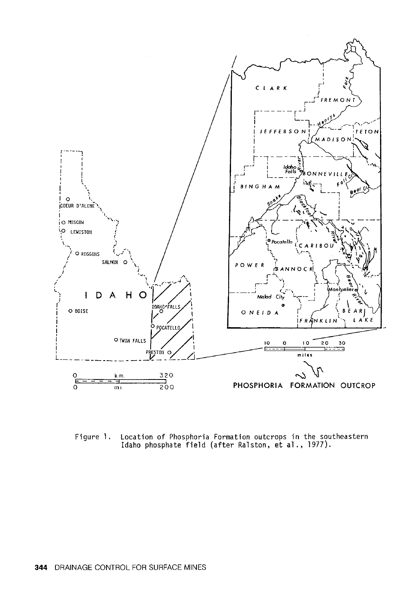

Location of Phosphoria Formation outcrops in the southeastern<br>Idaho phosphate field (after Ralston, et al., 1977). Figure 1.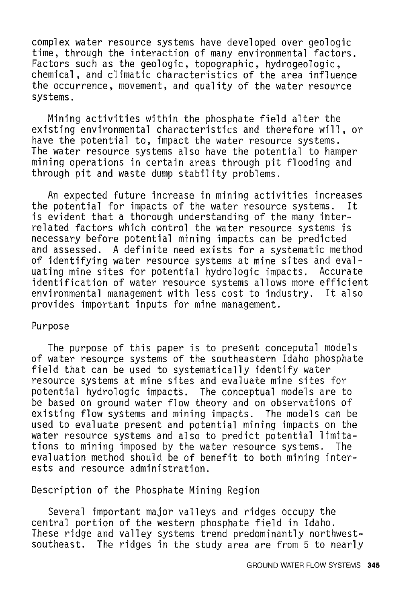complex water resource systems have developed over geologic time, through the interaction of many environmental factors. Factors such as the geologic, topographic, hydrogeologic, chemical, and climatic characteristics of the area influence the occurrence, movement, and quality of the water resource systems.

Mining activities within the phosphate field alter the existing environmental characteristics and therefore will, or have the potential to, impact the water resource systems. The water resource systems also have the potential to hamper mining operations in certain areas through pit flooding and through pit and waste dump stability problems.

An expected future increase in mining activities increases<br>potential for impacts of the water resource systems. It the potential for impacts of the water resource systems. is evident that a thorough understanding of the many interrelated factors which control the water resource systems is necessary before potential mining impacts can be predicted and assessed. A definite need exists for a systematic method of identifying water resource systems at mine sites and evaluating mine sites for potential hydrologic impacts. identification of water resource systems allows more efficient environmental management with less cost to industry. It also provides important inputs for mine management.

#### Purpose

The purpose of this paper is to present conceputal models of water resource systems of the southeastern Idaho phosphate field that can be used to systematically identify water resource systems at mine sites and evaluate mine sites for potential hydrologic impacts. The conceptual models are to be based on ground water flow theory and on observations of existing flow systems and mining impacts. The models can be used to evaluate present and potential mining impacts on the water resource systems and also to predict potential limitations to mining imposed by the water resource systems. The evaluation method should be of benefit to both mining interests and resource administration.

Description of the Phosphate Mining Region

Several important major valleys and ridges occupy the central portion of the western phosphate field in Idaho. These ridge and valley systems trend predominantly northwestsoutheast. The ridges in the study area are from 5 to nearly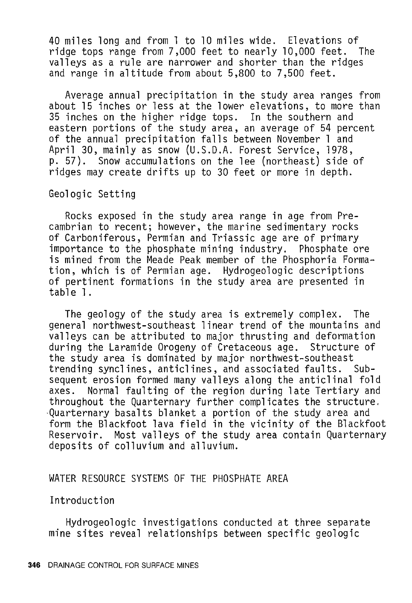40 miles long and from 1 to 10 miles wide. Elevations of ridge tops range from  $7,000$  feet to nearly  $10,000$  feet. valleys as a rule are narrower and shorter than the ridges and range in altitude from about 5,800 to 7,500 feet.

Average annual precipitation in the study area ranges from about 15 inches or less at the lower elevations, to more than 35 inches on the higher ridge tops. In the southern and eastern portions of the study area, an average of 54 percent of the annual precipitation falls between November 1 and April 30, mainly as snow (U.S.D.A. Forest Service, 1978, p. 57). Snow accumulations on the lee (northeast) side of ridges may create drifts up to 30 feet or more in depth.

Geologic Setting

Rocks exposed in the study area range in age from Precambrian to recent; however, the marine sedimentary rocks of Carboniferous, Permian and Triassic age are of primary importance to the phosphate mining industry. Phosphate ore is mined from the Meade Peak member of the Phosphoria Formation, which is of Permian age. Hydrogeologic descriptions of pertinent formations in the study area are presented in table 1.

The geology of the study area is extremely complex. The general northwest-southeast linear trend of the mountains and valleys can be attributed to major thrusting and deformation during the Laramide Orogeny of Cretaceous age. Structure of the study area is dominated by major northwest-southeast trending synclines, anticlines, and associated faults. Subsequent erosion formed many valleys along the anticlinal fold axes. Normal faulting of the region during late Tertiary and throughout the Quarternary further complicates the structure. ·Quarternary basalts blanket a portion of the study area and form the Blackfoot lava field in the vicinity of the Blackfoot Reservoir. Most valleys of the study area contain Quarternary deposits of colluvium and alluvium.

### WATER RESOURCE SYSTEMS OF THE PHOSPHATE AREA

Introduction

Hydrogeologic investigations conducted at three separate mine sites reveal relationships between specific geologic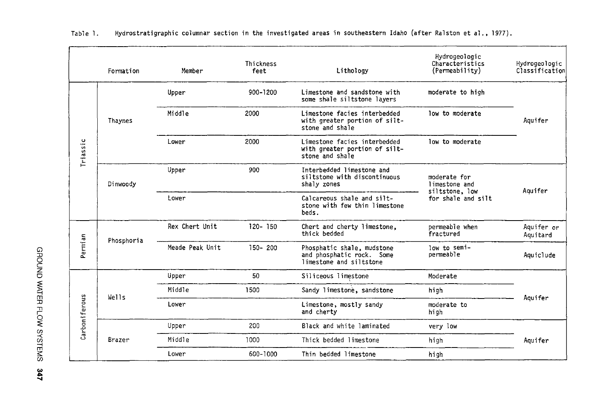|               | Formation  | Member          | Thickness<br>feet | Lithology                                                                          | Hydrogeologic<br>Characteristics<br>(Permeability) | Hydrogeologic<br>Classification |  |
|---------------|------------|-----------------|-------------------|------------------------------------------------------------------------------------|----------------------------------------------------|---------------------------------|--|
| Triassic      | Thaynes    | Upper           | 900-1200          | Limestone and sandstone with<br>some shale siltstone layers                        | moderate to high                                   | Aquifer                         |  |
|               |            | Middle          | 2000              | Limestone facies interbedded<br>with greater portion of silt-<br>stone and shale   | low to moderate                                    |                                 |  |
|               |            | Lower           | 2000              | Limestone facies interbedded<br>with greater portion of silt-<br>stone and shale   | low to moderate                                    |                                 |  |
|               | Dinwoody   | Upper           | 900               | Interbedded limestone and<br>siltstone with discontinuous<br>shaly zones           | moderate for<br>limestone and                      | Aquifer                         |  |
|               |            | Lower           |                   | Calcareous shale and silt-<br>stone with few thin limestone<br>beds.               | siltstone, low<br>for shale and silt               |                                 |  |
| Permian       | Phosphoria | Rex Chert Unit  | $120 - 150$       | Chert and cherty limestone,<br>thick bedded                                        | permeable when<br>fractured                        | Aquifer or<br>Aquitard          |  |
|               |            | Meade Peak Unit | $150 - 200$       | Phosphatic shale, mudstone<br>and phosphatic rock. Some<br>limestone and siltstone | low to semi-<br>permeable                          | Aquiclude                       |  |
| Carboniferous | Wells      | Upper           | 50                | Siliceous limestone                                                                | Moderate                                           |                                 |  |
|               |            | Middle          | 1500              | Sandy limestone, sandstone                                                         | high                                               |                                 |  |
|               |            | Lower           |                   | Limestone, mostly sandy<br>and cherty                                              | moderate to<br>high                                | Aquifer                         |  |
|               | Brazer     | Upper           | 200               | Black and white laminated                                                          | very low                                           | Aquifer                         |  |
|               |            | Middle          | 1000              | Thick bedded limestone                                                             | high                                               |                                 |  |
|               |            | Lower           | 600-1000          | Thin bedded limestone                                                              | high                                               |                                 |  |

Table 1. Hydrostratigraphic columnar section in the investigated areas in southeastern Idaho (after Ralston et al., 1977).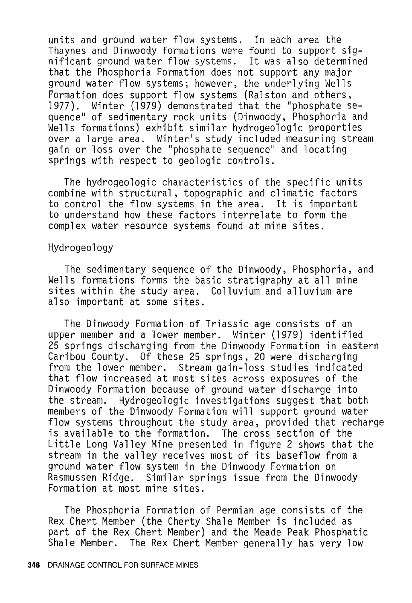units and ground water flow systems. In each area the Thaynes and Dinwoody formations were found to support sig- nificant ground water flow systems. It was also determined that the Phosphoria Formation does not support any major ground water flow systems; however, the underlying Wells Formation does support flow systems (Ralston and others,<br>1977). Winter (1979) demonstrated that the "phosphate s 1977). Winter (1979) demonstrated that the "phosphate sequence" of sedimentary rock units (Dinwoody, Phosphoria and Wells formations) exhibit similar hydrogeologic properties over a large area. Winter's study included measuring stream gain or loss over the "phosphate sequence" and locating springs with respect to geologic controls.

The hydrogeologic characteristics of the specific units combine with structural, topographic and climatic factors to control the flow systems in the area. It is important to understand how these factors interrelate to form the complex water resource systems found at mine sites.

#### Hydrogeology

The sedimentary sequence of the Dinwoody, Phosphoria, and Wells formations forms the basic stratigraphy at all mine sites within the study area. Colluvium and alluvium are also important at some sites.

The Dinwoody Formation of Triassic age consists of an upper member and a lower member. Winter (1979) identified 25 springs discharging from the Dinwoody Formation in eastern Caribou County. Of these 25 springs, 20 were discharging from the lower member. Stream gain-loss studies indicated that flow increased at most sites across exposures of the Dinwoody Formation because of ground water discharge into the stream. Hydrogeologic investigations suggest that both members of the Dinwoody Formation will support ground water flow systems throughout the study area, provided that recharge is available to the formation. The cross section of the Little Long Valley Mine presented in figure 2 shows that the stream in the valley receives most of its baseflow from a ground water flow system in the Dinwoody Formation on Similar springs issue from the Dinwoody Formation at most mine sites.

The Phosphoria Formation of Permian age consists of the Rex Chert Member (the Cherty Shale Member is included as part of the Rex Chert Member) and the Meade Peak Phosphatic Shale Member. The Rex Chert Member generally has very low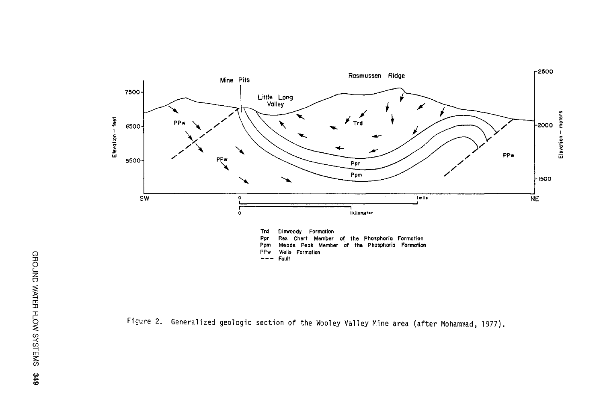

Figure 2. Generalized geologic section of the Wooley Valley Mine area (after Mohammad, 1977).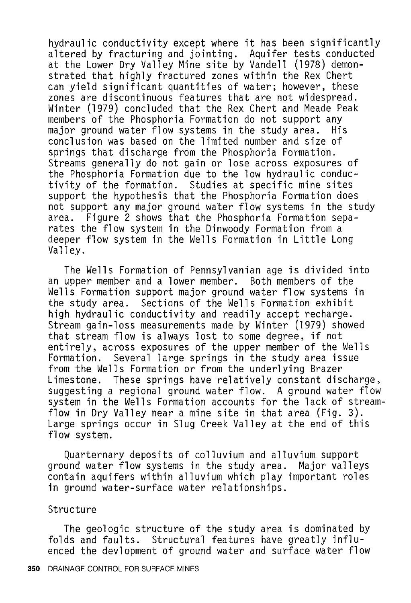hydraulic conductivity except where it has been significantly altered by fracturing and jointing. Aquifer tests conducted at the Lower Dry Valley Mine site by Vandell (1978) demonstrated that highly fractured zones within the Rex Chert can yield significant quantities of water; however, these Winter (1979) concluded that the Rex Chert and Meade Peak members of the Phosphoria Formation do not support any major ground water flow systems in the study area. His conclusion was based on the limited number and size of springs that discharge from the Phosphoria Formation. Streams generally do not gain or lose across exposures of the Phosphoria Formation due to the low hydraulic conductivity of the formation. Studies at specific mine sites support the hypothesis that the Phosphoria Formation does not support any major ground water flow systems in the study area. Figure 2 shows that the Phosphoria Formation separates the flow system in the Dinwoody Formation from a deeper flow system in the Wells Formation in Little Long<br>Valley.

The Wells Formation of Pennsylvanian age is divided into an upper member and a lower member. Both members of the Wells Formation support major ground water flow systems in the study area. Sections of the Wells Formation exhibit high hydraulic conductivity and readily accept recharge. Stream gain-loss measurements made by Winter (1979) showed that stream flow is always lost to some degree, if not entirely, across exposures of the upper member of the Wells Formation. Several large springs in the study area issue from the Wells Formation or from the underlying Brazer Limestone. These springs have relatively constant discharge, suggesting a regional ground water flow. A ground water flow system in the Wells Formation accounts for the lack of streamflow in Dry Valley near a mine site in that area (Fig. 3). Large springs occur in Slug Creek Valley at the end of this flow system.

Quarternary deposits of colluvium and alluvium support ground water flow systems in the study area. contain aquifers within alluvium which play important roles in ground water-surface water relationships.

#### Structure

The geologic structure of the study area is dominated by folds and faults. Structural features have greatly influenced the devlopment of ground water and surface water flow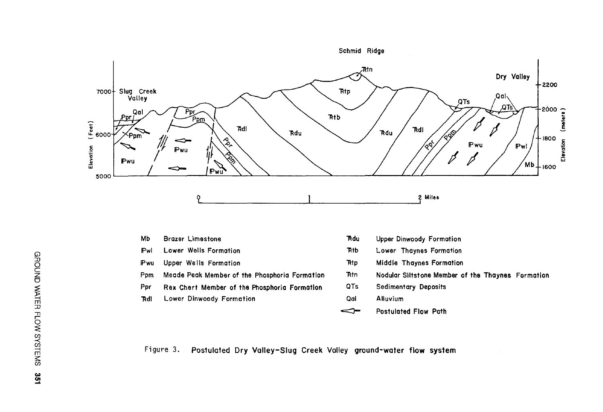

- Pwu Upper Wells Formation
- Meade Peak Member of the Phosphoria Formation Ppm
- Ppr Rex Chert Member of the Phosphoria Formation
- Lower Dinwoody Formation **Rd1**
- 
- Middle Thaynes Formation Rtp
- **Rtn** Nodular Siltstone Member of the Thaynes Formation
- QTs **Sedimentary Deposits**
- Alluvium Qal
- Postulated Flow Path ◅

Figure 3. Postulated Dry Valley-Slug Creek Valley ground-water flow system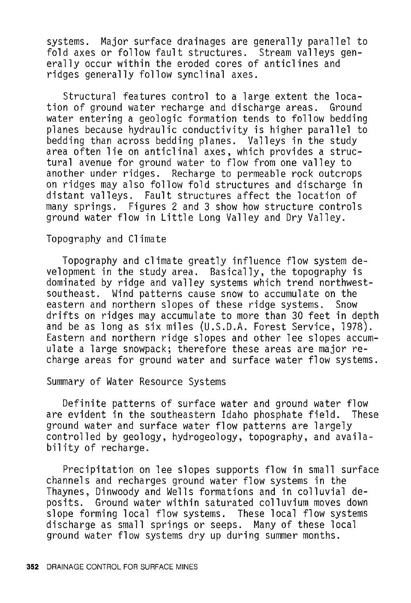systems. Major surface drainages are generally parallel to fold axes or follow fault structures. Stream valleys generally occur within the eroded cores of anticlines and ridges generally follow synclinal axes.

Structural features control to a large extent the loca-<br>n of ground water recharge and discharge areas. Ground tion of ground water recharge and discharge areas. water entering a geologic formation tends to follow bedding planes because hydraulic conductivity is higher parallel to bedding than across bedding planes. Valleys in the study area often lie on anticlinal axes, which provides a structural avenue for ground water to flow from one valley to another under ridges. Recharge to permeable rock outcrops on ridges may also follow fold structures and discharge in distant valleys. Fault structures affect the location of many springs. Figures 2 and 3 show how structure controls ground water flow in Little Long Valley and Dry Valley.

#### Topography and Climate

Topography and climate greatly influence flow system development in the study area. Basically, the topography is dominated by ridge and valley systems which trend northwestsoutheast. Wind patterns cause snow to accumulate on the eastern and northern slopes of these ridge systems. Snow drifts on ridges may accumulate to more than 30 feet in depth and be as long as six miles (U.S.D.A. Forest Service, 1978). Eastern and northern ridge slopes and other lee slopes accumulate a large snowpack; therefore these areas are major recharge areas for ground water and surface water flow systems.

Summary of Water Resource Systems

Definite patterns of surface water and ground water flow are evident in the southeastern Idaho phosphate field. These ground water and surface water flow patterns are largely controlled by geology, hydrogeology, topography, and availability of recharge.

Precipitation on lee slopes supports flow in small surface channels and recharges ground water flow systems in the Thaynes, Dinwoody and Wells formations and in colluvial deposits. Ground water within saturated colluvium moves down slope forming local flow systems. These local flow systems discharge as small springs or seeps. Many of these local ground water flow systems dry up during summer months.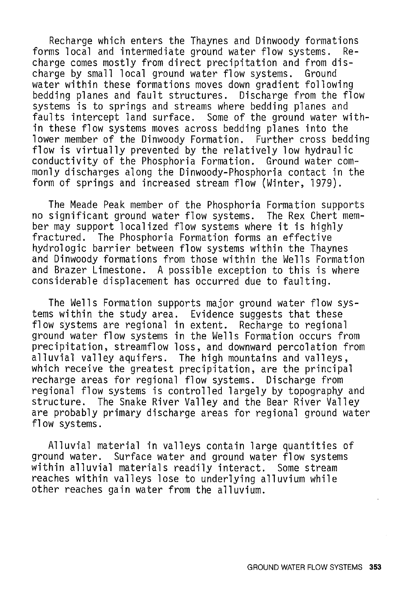Recharge which enters the Thaynes and Dinwoody formations<br>ms local and intermediate ground water flow systems. Reforms local and intermediate ground water flow systems. charge comes mostly from direct precipitation and from discharge by small local ground water flow systems. Ground bedding planes and fault structures. Discharge from the flow systems is to springs and streams where bedding planes and faults intercept land surface. Some of the ground water within these flow systems moves across bedding planes into the<br>lower member of the Dinwoody Formation. Further cross bedding flow is virtually prevented by the relatively low hydraulic conductivity of the Phosphoria Formation. Ground water commonly discharges along the Dinwoody-Phosphoria contact in the form of springs and increased stream flow (Winter, 1979).

The Meade Peak member of the Phosphoria Formation supports no significant ground water flow systems. The Rex Chert mem-<br>ber may support localized flow systems where it is highly fractured. The Phosphoria Formation forms an effective hydrologic barrier between flow systems within the Thaynes and Dinwoody formations from those within the Wells Formation and Brazer Limestone. A possible exception to this is where considerable displacement has occurred due to faulting.

The Wells Formation supports major ground water flow systems within the study area. Evidence suggests that these flow systems are regional in extent. Recharge to regional ground water flow systems in the Wells Formation occurs from precipitation, streamflow loss, and downward percolation from alluvial valley aquifers. The high mountains and valleys, which receive the greatest precipitation, are the principal recharge areas for regional flow systems. Discharge from regional flow systems is controlled largely by topography and structure. The Snake River Valley and the Bear River Valley are probably primary discharge areas for regional ground water flow systems.

Alluvial material in valleys contain large quantities of ground water. Surface water and ground water flow systems within alluvial materials readily interact. Some stream reaches within valleys lose to underlying alluvium while other reaches gain water from the alluvium.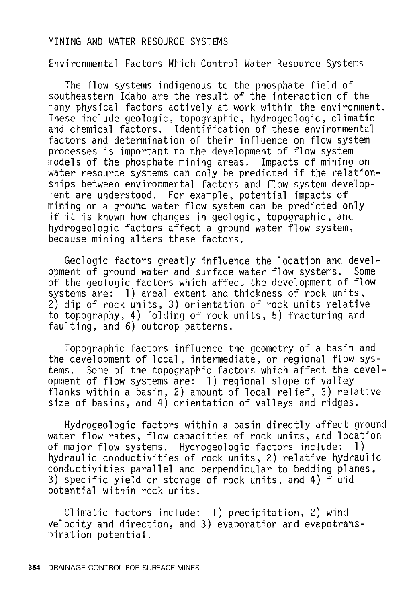#### MINING AND WATER RESOURCE SYSTEMS

Environmental Factors Which Control Water Resource Systems

The flow systems indigenous to the phosphate field of southeastern Idaho are the result of the interaction of the many physical factors actively at work within the environment. These include geologic, topographic, hydrogeologic, climatic and chemical factors. Identification of these environmental factors and determination of their influence on flow system processes is important to the development of flow system models of the phosphate mining areas. Impacts of mining on water resource systems can only be predicted if the relationships between environmental factors and flow system development are understood. For example, potential impacts of mining on a ground water flow system can be predicted only if it is known how changes in geologic, topographic, and hydrogeologic factors affect a ground water flow system, because mining alters these factors.

Geologic factors greatly influence the location and devel-<br>ent of ground water and surface water flow systems. Some opment of ground water and surface water flow systems. of the geologic factors which affect the development of flow systems are: 1) areal extent and thickness of rock units, 2) dip of rock units, 3) orientation of rock units relative to topography, 4) folding of rock units, 5) fracturing and faulting, and 6) outcrop patterns.

Topographic factors influence the geometry of a basin and the development of local, intermediate, or regional flow sys-<br>tems. Some of the topographic factors which affect the devel Some of the topographic factors which affect the development of flow systems are: 1) regional slope of valley flanks within a basin, 2) amount of local relief, 3) relative size of basins, and 4) orientation of valleys and ridges.

Hydrogeologic factors within a basin directly affect ground water flow rates, flow capacities of rock units, and location<br>of major flow systems. Hydrogeologic factors include: 1) of major flow systems. Hydrogeologic factors include: hydraulic conductivities of rock units, 2) relative hydraulic conductivities parallel and perpendicular to bedding planes, 3) specific yield or storage of rock units, and 4) fluid potential within rock units.

Climatic factors include: 1) precipitation, 2) wind velocity and direction, and 3) evaporation and evapotrans- piration potential.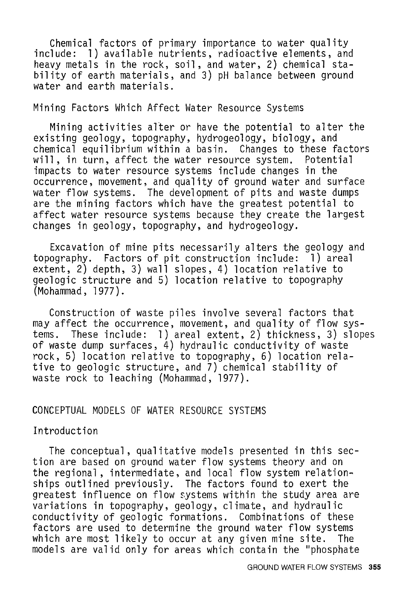Chemical factors of primary importance to water quality include: 1) available nutrients, radioactive elements, and heavy metals in the rock, soil, and water, 2) chemical stability of earth materials, and 3) pH balance between ground water and earth materials.

#### Mining Factors Which Affect Water Resource Systems

Mining activities alter or have the potential to alter the existing geology, topography, hydrogeology, biology, and chemical equilibrium within a basin. Changes to these factors will, in turn, affect the water resource system. impacts to water resource systems include changes in the occurrence, movement, and quality of ground water and surface water flow systems. The development of pits and waste dumps are the mining factors which have the greatest potential to affect water resource systems because they create the largest changes in geology, topography, and hydrogeology.

Excavation of mine pits necessarily alters the geology and topography. Factors of pit construction include: 1) areal extent, 2) depth, 3) wall slopes, 4) location relative to geologic structure and 5) location relative to topography (Mohammad, 1977).

Construction of waste piles involve several factors that may affect the occurrence, movement, and quality of flow systems. These include: 1) areal extent, 2) thickness, 3) slopes of waste dump surfaces, 4) hydraulic conductivity of waste rock, 5) location relative to topography, 6) location relative to geologic structure, and 7) chemical stability of waste rock to leaching (Mohammad, 1977).

#### CONCEPTUAL MODELS OF WATER RESOURCE SYSTEMS

#### Introduction

The conceptual, qualitative models presented in this section are based on ground water flow systems theory and on the regional, intermediate, and local flow system relationships outlined previously. The factors found to exert the greatest influence on flow systems within the study area are variations in topography, geology, climate, and hydraulic conductivity of geologic formations. Combinations of these factors are used to determine the ground water flow systems which are most likely to occur at any given mine site. The models are valid only for areas which contain the "phosphate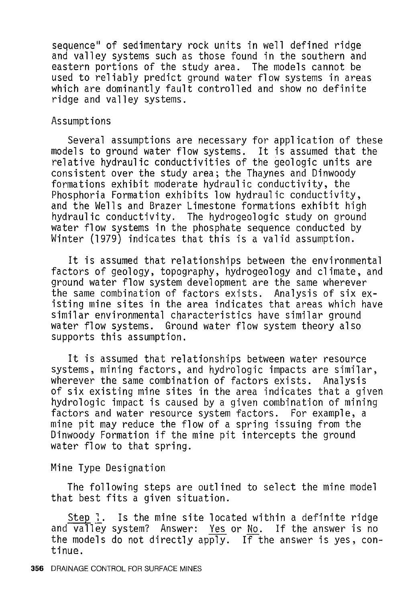sequence" of sedimentary rock units in well defined ridge<br>and valley systems such as those found in the southern and eastern portions of the study area. The models cannot be used to reliably predict ground water flow systems in areas which are dominantly fault controlled and show no definite ridge and valley systems.

#### Assumptions

Several assumptions are necessary for application of these models to ground water flow systems. It is assumed that the relative hydraulic conductivities of the geologic units are consistent over the study area; the Thaynes and Dinwoody formations exhibit moderate hydraulic conductivity, the Phosphoria Formation exhibits low hydraulic conductivity, and the Wells and Brazer Limestone formations exhibit high hydraulic conductivity. The hydrogeologic study on ground water flow systems in the phosphate sequence conducted by Winter (1979) indicates that this is a valid assumption.

It is assumed that relationships between the environmental factors of geology, topography, hydrogeology and climate, and ground water flow system development are the same wherever the same combination of factors exists. Analysis of six existing mine sites in the area indicates that areas which have similar environmental characteristics have similar ground water flow systems. Ground water flow system theory also supports this assumption.

It is assumed that relationships between water resource systems, mining factors, and hydrologic impacts are similar, wherever the same combination of factors exists. Analysis of six existing mine sites in the area indicates that a given hydrologic impact is caused by a given combination of mining factors and water resource system factors. For example, a mine pit may reduce the flow of a spring issuing from the Dinwoody Formation if the mine pit intercepts the ground water flow to that spring.

## Mine Type Designation

The following steps are outlined to select the mine model that best fits a given situation.

Step 1. Is the mine site located within a definite ridge and valley system? Answer: Yes or No. If the answer is no the models do not directly apply. If the answer is yes, continue.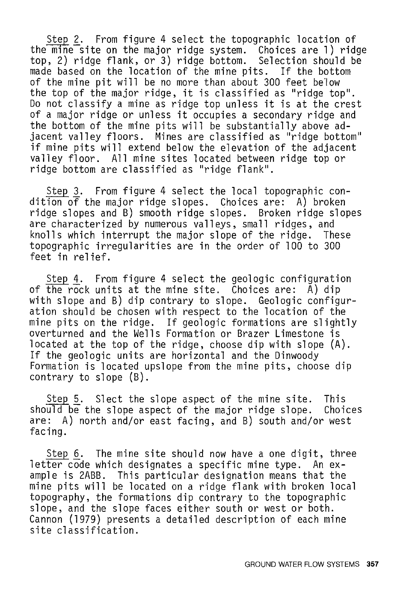Step 2. From figure 4 select the topographic location of the mine site on the major ridge system. Choices are **1)** ridge top, 2) ridge flank, or 3) ridge bottom. Selection should be made based on the location of the mine pits. If the bottom of the mine pit will be no more than about 300 feet below the top of the major ridge, it is classified as "ridge top". Do not classify a mine as ridge top unless it is at the crest of a major ridge or unless it occupies a secondary ridge and the bottom of the mine pits will be substantially above adjacent valley floors. Mines are classified as "ridge bottom" if mine pits will extend below the elevation of the adjacent valley floor. All mine sites located between ridge top or ridge bottom are classified as "ridge flank".

Step 3. From figure 4 select the local topographic condition of the major ridge slopes. Choices are: A) broken ridge slopes and B) smooth ridge slopes. Broken ridge slopes are characterized by numerous valleys, small ridges, and<br>knolls which interrupt the major slope of the ridge. These knolls which interrupt the major slope of the ridge. topographic irregularities are in the order of 100 to 300 feet in relief.

Step 4. From figure 4 select the geologic configuration of the rock units at the mine site. Choices are: A) dip with slope and B) dip contrary to slope. Geologic configuration should be chosen with respect to the location of the mine pits on the ridge. If geologic formations are slightly overturned and the Wells Formation or Brazer Limestone is located at the top of the ridge, choose dip with slope (A). If the geologic units are horizontal and the Dinwoody Formation is located upslope from the mine pits, choose dip contrary to slope (B).

 $Step 5.$  Slect the slope aspect of the mine site. This<br>uld be the slope aspect of the major ridge slope. Choices should be the slope aspect of the major ridge slope. are: A) north and/or east facing, and B) south and/or west facing.

Step 6. The mine site should now have a one digit, three letter code which designates a specific mine type. An example is 2ABB. This particular designation means that the mine pits will be located on a ridge flank with broken local topography, the formations dip contrary to the topographic slope, and the slope faces either south or west or both. Cannon (1979) presents a detailed description of each mine site classification.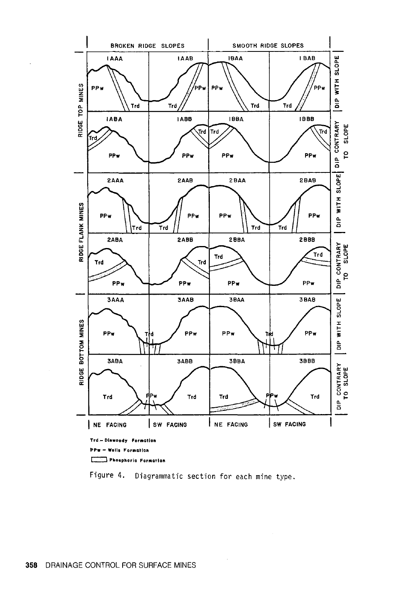

Figure 4. Diagrammatic section for each mine type.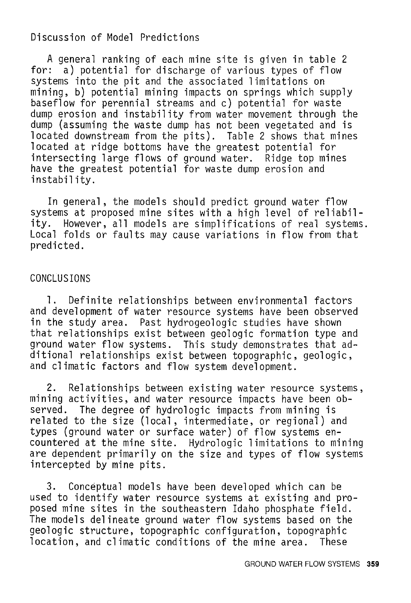## Discussion of Model Predictions

A general ranking of each mine site is given in table 2 for: a) potential for discharge of various types of flow systems into the pit and the associated limitations on mining, b) potential mining impacts on springs which supply baseflow for perennial streams and c) potential for waste dump erosion and instability from water movement through the dump (assuming the waste dump has not been vegetated and is located downstream from the pits). Table 2 shows that mines located at ridge bottoms have the greatest potential for intersecting large flows of ground water. Ridge top mines have the greatest potential for waste dump erosion and instability.

In general, the models should predict ground water flow systems at proposed mine sites with a high level of reliability. However, all models are simplifications of real systems. Local folds or faults may cause variations in flow from that predicted.

# CONCLUSIONS

1. Definite relationships between environmental factors and development of water resource systems have been observed in the study area. Past hydrogeologic studies have shown that relationships exist between geologic formation type and ground water flow systems. This study demonstrates that additional relationships exist between topographic, geologic, and climatic factors and flow system development.

2. Relationships between existing water resource systems, mining activities, and water resource impacts have been observed. The degree of hydrologic impacts from mining is related to the size (local, intermediate, or regional) and types (ground water or surface water) of flow systems encountered at the mine site. Hydrologic limitations to mining are dependent primarily on the size and types of flow systems intercepted by mine pits.

3. Conceptual models have been developed which can be used to identify water resource systems at existing and proposed mine sites in the southeastern Idaho phosphate field. The models delineate ground water flow systems based on the geologic structure, topographic configuration, topographic<br>location, and climatic conditions of the mine area. These location, and climatic conditions of the mine area.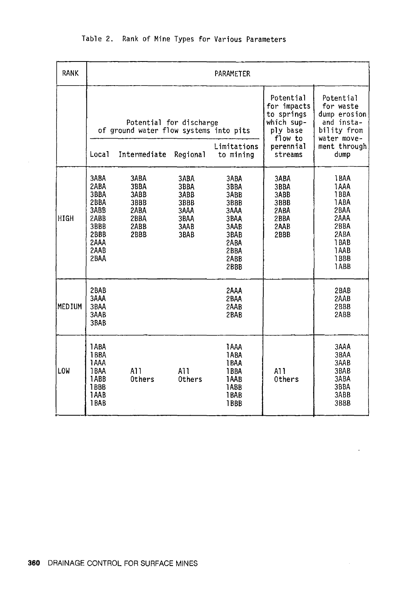| RANK   | PARAMETER                                                                                   |                                                                   |                                                              |                                                                                              |                                                                                                    |                                                                                               |  |  |  |
|--------|---------------------------------------------------------------------------------------------|-------------------------------------------------------------------|--------------------------------------------------------------|----------------------------------------------------------------------------------------------|----------------------------------------------------------------------------------------------------|-----------------------------------------------------------------------------------------------|--|--|--|
|        |                                                                                             | Potential for discharge<br>of ground water flow systems into pits | Limitations                                                  | Potential<br>for impacts<br>to springs<br>which sup-<br>ply base<br>flow to<br>perennial     | Potential<br>for waste<br>dump erosion<br>and insta-<br>bility from<br>water move-<br>ment through |                                                                                               |  |  |  |
|        | Local                                                                                       | Intermediate                                                      | Regional                                                     | to mining                                                                                    | streams                                                                                            | dump                                                                                          |  |  |  |
| HIGH   | 3ABA<br>2ABA<br>3BBA<br>2BBA<br>3ABB<br>2ABB<br>3BBB<br><b>2BBB</b><br>2AAA<br>2AAB<br>2BAA | 3ABA<br>3BBA<br>3ABB<br>3BBB<br>2ABA<br>2BBA<br>2ABB<br>2BBB      | 3ABA<br>3BBA<br>3ABB<br>3BBB<br>3AAA<br>3BAA<br>3AAB<br>3BAB | 3ABA<br>3BBA<br>3ABB<br>3BBB<br>3AAA<br>3BAA<br>3AAB<br>3BAB<br>2ABA<br>2BBA<br>2ABB<br>2BBB | 3ABA<br>3BBA<br>3ABB<br>3BBB<br>2ABA<br>2BBA<br>2AAB<br>2BBB                                       | 1BAA<br>1AAA<br>1BBA<br>1ABA<br>2BAA<br>2AAA<br>2BBA<br>2ABA<br>1BAB<br>1AAB<br>1.BBB<br>1ABB |  |  |  |
| MEDIUM | 2BAB<br>3AAA<br>3BAA<br>3AAB<br>3BAB                                                        |                                                                   |                                                              | 2AAA<br>2BAA<br>2AAB<br>2BAB                                                                 |                                                                                                    | 2BAB<br>2AAB<br><b>2BBB</b><br>2ABB                                                           |  |  |  |
| LOW    | 1ABA<br>1BBA<br>1AAA<br>1BAA<br>1ABB<br>1BBB<br>1AAB<br>1BAB                                | A11<br><b>Others</b>                                              | A11<br>Others                                                | <b>TAAA</b><br>1ABA<br>1BAA<br>1BBA<br>1AAB<br>1ABB<br>1BAB<br>1BBB                          | A11<br>Others                                                                                      | 3AAA<br>3BAA<br>3AAB<br>3BAB<br>3ABA<br>3BBA<br>3ABB<br>3BBB                                  |  |  |  |

 $\bar{z}$